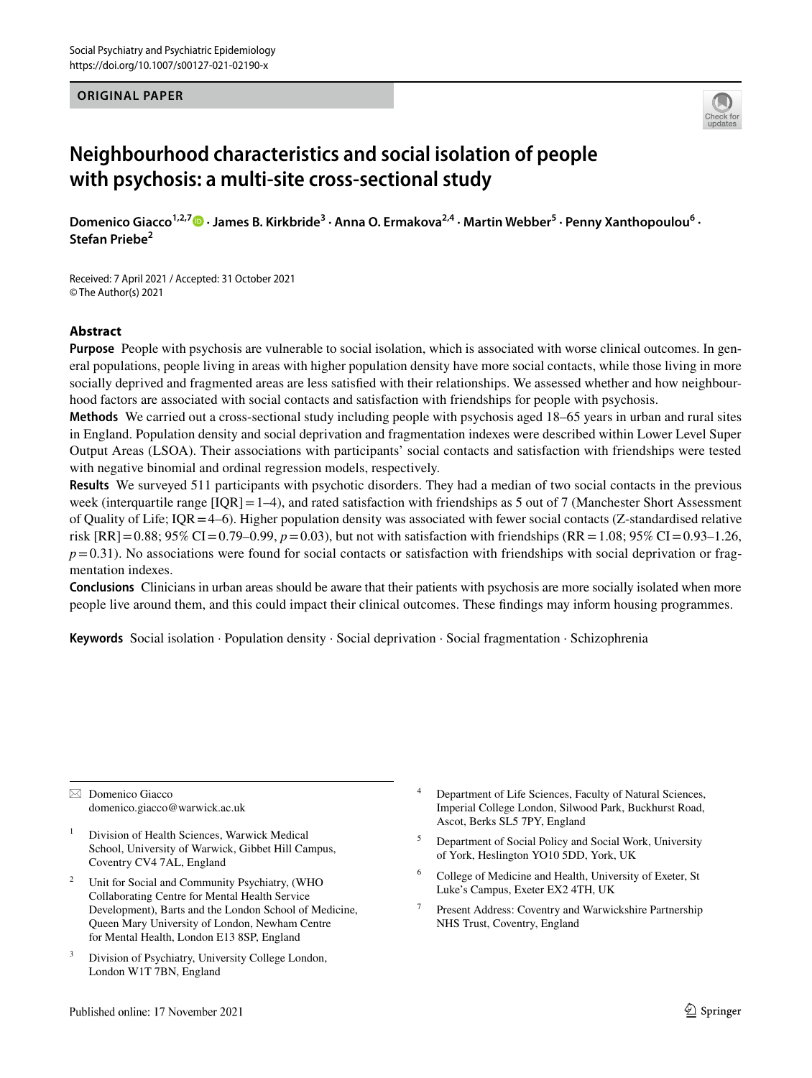#### **ORIGINAL PAPER**



# **Neighbourhood characteristics and social isolation of people with psychosis: a multi‑site cross‑sectional study**

Domenico Giacco<sup>1,2,7</sup> D [·](http://orcid.org/0000-0001-7809-8800) James B. Kirkbride<sup>3</sup> · Anna O. Ermakova<sup>2,4</sup> · Martin Webber<sup>5</sup> · Penny Xanthopoulou<sup>6</sup> · **Stefan Priebe<sup>2</sup>**

Received: 7 April 2021 / Accepted: 31 October 2021 © The Author(s) 2021

## **Abstract**

**Purpose** People with psychosis are vulnerable to social isolation, which is associated with worse clinical outcomes. In general populations, people living in areas with higher population density have more social contacts, while those living in more socially deprived and fragmented areas are less satisfed with their relationships. We assessed whether and how neighbourhood factors are associated with social contacts and satisfaction with friendships for people with psychosis.

**Methods** We carried out a cross-sectional study including people with psychosis aged 18–65 years in urban and rural sites in England. Population density and social deprivation and fragmentation indexes were described within Lower Level Super Output Areas (LSOA). Their associations with participants' social contacts and satisfaction with friendships were tested with negative binomial and ordinal regression models, respectively.

**Results** We surveyed 511 participants with psychotic disorders. They had a median of two social contacts in the previous week (interquartile range  $[IQR] = 1-4$ ), and rated satisfaction with friendships as 5 out of 7 (Manchester Short Assessment of Quality of Life;  $IQR=4-6$ ). Higher population density was associated with fewer social contacts (Z-standardised relative risk  $[RR] = 0.88$ ; 95% CI=0.79–0.99,  $p = 0.03$ ), but not with satisfaction with friendships  $(RR = 1.08$ ; 95% CI=0.93–1.26,  $p=0.31$ ). No associations were found for social contacts or satisfaction with friendships with social deprivation or fragmentation indexes.

**Conclusions** Clinicians in urban areas should be aware that their patients with psychosis are more socially isolated when more people live around them, and this could impact their clinical outcomes. These fndings may inform housing programmes.

**Keywords** Social isolation · Population density · Social deprivation · Social fragmentation · Schizophrenia

 $\boxtimes$  Domenico Giacco domenico.giacco@warwick.ac.uk

- <sup>1</sup> Division of Health Sciences, Warwick Medical School, University of Warwick, Gibbet Hill Campus, Coventry CV4 7AL, England
- <sup>2</sup> Unit for Social and Community Psychiatry, (WHO Collaborating Centre for Mental Health Service Development), Barts and the London School of Medicine, Queen Mary University of London, Newham Centre for Mental Health, London E13 8SP, England
- Division of Psychiatry, University College London, London W1T 7BN, England
- <sup>4</sup> Department of Life Sciences, Faculty of Natural Sciences, Imperial College London, Silwood Park, Buckhurst Road, Ascot, Berks SL5 7PY, England
- <sup>5</sup> Department of Social Policy and Social Work, University of York, Heslington YO10 5DD, York, UK
- <sup>6</sup> College of Medicine and Health, University of Exeter, St Luke's Campus, Exeter EX2 4TH, UK
- <sup>7</sup> Present Address: Coventry and Warwickshire Partnership NHS Trust, Coventry, England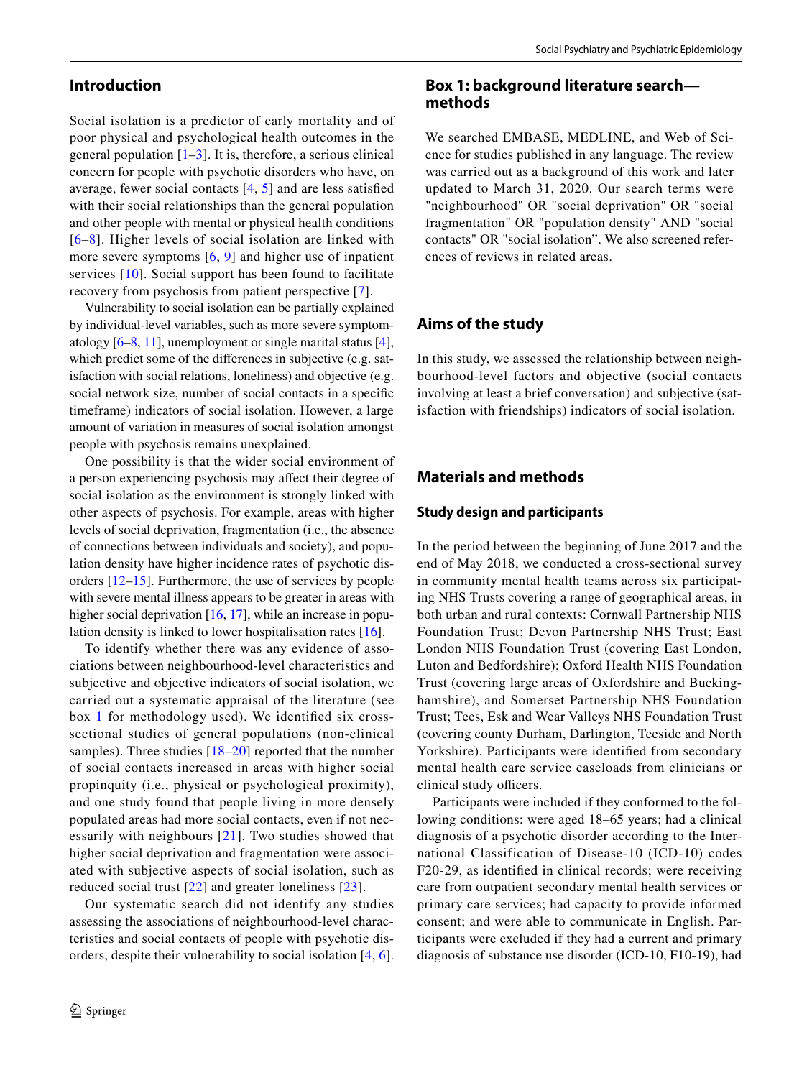## **Introduction**

Social isolation is a predictor of early mortality and of poor physical and psychological health outcomes in the general population  $[1-3]$  $[1-3]$ . It is, therefore, a serious clinical concern for people with psychotic disorders who have, on average, fewer social contacts [\[4,](#page-7-2) [5](#page-7-3)] and are less satisfed with their social relationships than the general population and other people with mental or physical health conditions [[6–](#page-7-4)[8\]](#page-7-5). Higher levels of social isolation are linked with more severe symptoms  $[6, 9]$  $[6, 9]$  $[6, 9]$  $[6, 9]$  and higher use of inpatient services [[10\]](#page-7-7). Social support has been found to facilitate recovery from psychosis from patient perspective [[7\]](#page-7-8).

Vulnerability to social isolation can be partially explained by individual-level variables, such as more severe symptomatology [[6–](#page-7-4)[8,](#page-7-5) [11](#page-7-9)], unemployment or single marital status [\[4](#page-7-2)], which predict some of the diferences in subjective (e.g. satisfaction with social relations, loneliness) and objective (e.g. social network size, number of social contacts in a specifc timeframe) indicators of social isolation. However, a large amount of variation in measures of social isolation amongst people with psychosis remains unexplained.

One possibility is that the wider social environment of a person experiencing psychosis may afect their degree of social isolation as the environment is strongly linked with other aspects of psychosis. For example, areas with higher levels of social deprivation, fragmentation (i.e., the absence of connections between individuals and society), and population density have higher incidence rates of psychotic disorders [\[12](#page-7-10)[–15\]](#page-7-11). Furthermore, the use of services by people with severe mental illness appears to be greater in areas with higher social deprivation [[16,](#page-7-12) [17](#page-7-13)], while an increase in population density is linked to lower hospitalisation rates [[16\]](#page-7-12).

To identify whether there was any evidence of associations between neighbourhood-level characteristics and subjective and objective indicators of social isolation, we carried out a systematic appraisal of the literature (see box [1](#page-1-0) for methodology used). We identifed six crosssectional studies of general populations (non-clinical samples). Three studies [[18](#page-7-14)[–20\]](#page-7-15) reported that the number of social contacts increased in areas with higher social propinquity (i.e., physical or psychological proximity), and one study found that people living in more densely populated areas had more social contacts, even if not necessarily with neighbours [\[21\]](#page-7-16). Two studies showed that higher social deprivation and fragmentation were associated with subjective aspects of social isolation, such as reduced social trust [[22\]](#page-7-17) and greater loneliness [\[23\]](#page-7-18).

Our systematic search did not identify any studies assessing the associations of neighbourhood-level characteristics and social contacts of people with psychotic disorders, despite their vulnerability to social isolation [[4](#page-7-2), [6](#page-7-4)].

# <span id="page-1-0"></span>**Box 1: background literature search methods**

We searched EMBASE, MEDLINE, and Web of Science for studies published in any language. The review was carried out as a background of this work and later updated to March 31, 2020. Our search terms were "neighbourhood" OR "social deprivation" OR "social fragmentation" OR "population density" AND "social contacts" OR "social isolation". We also screened references of reviews in related areas.

## **Aims of the study**

In this study, we assessed the relationship between neighbourhood-level factors and objective (social contacts involving at least a brief conversation) and subjective (satisfaction with friendships) indicators of social isolation.

## **Materials and methods**

#### **Study design and participants**

In the period between the beginning of June 2017 and the end of May 2018, we conducted a cross-sectional survey in community mental health teams across six participating NHS Trusts covering a range of geographical areas, in both urban and rural contexts: Cornwall Partnership NHS Foundation Trust; Devon Partnership NHS Trust; East London NHS Foundation Trust (covering East London, Luton and Bedfordshire); Oxford Health NHS Foundation Trust (covering large areas of Oxfordshire and Buckinghamshire), and Somerset Partnership NHS Foundation Trust; Tees, Esk and Wear Valleys NHS Foundation Trust (covering county Durham, Darlington, Teeside and North Yorkshire). Participants were identifed from secondary mental health care service caseloads from clinicians or clinical study officers.

Participants were included if they conformed to the following conditions: were aged 18–65 years; had a clinical diagnosis of a psychotic disorder according to the International Classification of Disease-10 (ICD-10) codes F20-29, as identifed in clinical records; were receiving care from outpatient secondary mental health services or primary care services; had capacity to provide informed consent; and were able to communicate in English. Participants were excluded if they had a current and primary diagnosis of substance use disorder (ICD-10, F10-19), had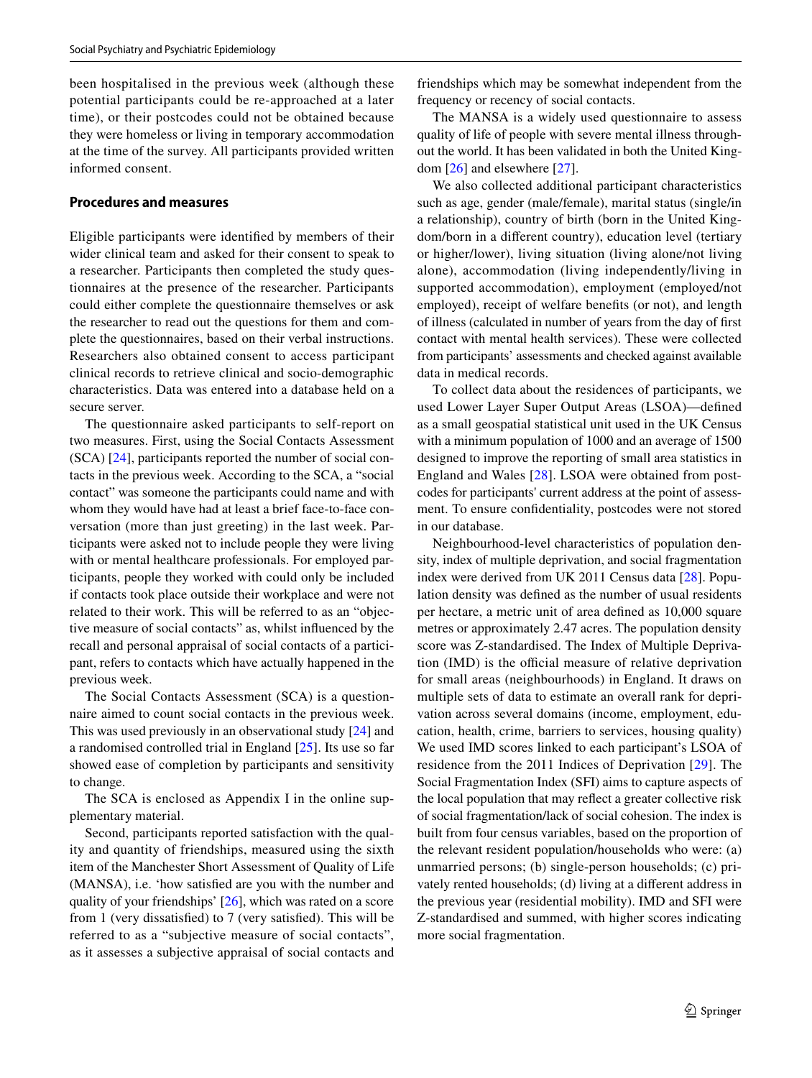been hospitalised in the previous week (although these potential participants could be re-approached at a later time), or their postcodes could not be obtained because they were homeless or living in temporary accommodation at the time of the survey. All participants provided written informed consent.

## **Procedures and measures**

Eligible participants were identifed by members of their wider clinical team and asked for their consent to speak to a researcher. Participants then completed the study questionnaires at the presence of the researcher. Participants could either complete the questionnaire themselves or ask the researcher to read out the questions for them and complete the questionnaires, based on their verbal instructions. Researchers also obtained consent to access participant clinical records to retrieve clinical and socio-demographic characteristics. Data was entered into a database held on a secure server.

The questionnaire asked participants to self-report on two measures. First, using the Social Contacts Assessment (SCA) [[24\]](#page-7-19), participants reported the number of social contacts in the previous week. According to the SCA, a "social contact" was someone the participants could name and with whom they would have had at least a brief face-to-face conversation (more than just greeting) in the last week. Participants were asked not to include people they were living with or mental healthcare professionals. For employed participants, people they worked with could only be included if contacts took place outside their workplace and were not related to their work. This will be referred to as an "objective measure of social contacts" as, whilst infuenced by the recall and personal appraisal of social contacts of a participant, refers to contacts which have actually happened in the previous week.

The Social Contacts Assessment (SCA) is a questionnaire aimed to count social contacts in the previous week. This was used previously in an observational study [\[24](#page-7-19)] and a randomised controlled trial in England [[25\]](#page-7-20). Its use so far showed ease of completion by participants and sensitivity to change.

The SCA is enclosed as Appendix I in the online supplementary material.

Second, participants reported satisfaction with the quality and quantity of friendships, measured using the sixth item of the Manchester Short Assessment of Quality of Life (MANSA), i.e. 'how satisfed are you with the number and quality of your friendships' [[26\]](#page-7-21), which was rated on a score from 1 (very dissatisfed) to 7 (very satisfed). This will be referred to as a "subjective measure of social contacts", as it assesses a subjective appraisal of social contacts and friendships which may be somewhat independent from the frequency or recency of social contacts.

The MANSA is a widely used questionnaire to assess quality of life of people with severe mental illness throughout the world. It has been validated in both the United Kingdom [[26\]](#page-7-21) and elsewhere [[27\]](#page-7-22).

We also collected additional participant characteristics such as age, gender (male/female), marital status (single/in a relationship), country of birth (born in the United Kingdom/born in a diferent country), education level (tertiary or higher/lower), living situation (living alone/not living alone), accommodation (living independently/living in supported accommodation), employment (employed/not employed), receipt of welfare benefts (or not), and length of illness (calculated in number of years from the day of frst contact with mental health services). These were collected from participants' assessments and checked against available data in medical records.

To collect data about the residences of participants, we used Lower Layer Super Output Areas (LSOA)—defned as a small geospatial statistical unit used in the UK Census with a minimum population of 1000 and an average of 1500 designed to improve the reporting of small area statistics in England and Wales [[28](#page-7-23)]. LSOA were obtained from postcodes for participants' current address at the point of assessment. To ensure confdentiality, postcodes were not stored in our database.

Neighbourhood-level characteristics of population density, index of multiple deprivation, and social fragmentation index were derived from UK 2011 Census data [[28\]](#page-7-23). Population density was defned as the number of usual residents per hectare, a metric unit of area defned as 10,000 square metres or approximately 2.47 acres. The population density score was Z-standardised. The Index of Multiple Deprivation (IMD) is the official measure of relative deprivation for small areas (neighbourhoods) in England. It draws on multiple sets of data to estimate an overall rank for deprivation across several domains (income, employment, education, health, crime, barriers to services, housing quality) We used IMD scores linked to each participant's LSOA of residence from the 2011 Indices of Deprivation [\[29](#page-7-24)]. The Social Fragmentation Index (SFI) aims to capture aspects of the local population that may refect a greater collective risk of social fragmentation/lack of social cohesion. The index is built from four census variables, based on the proportion of the relevant resident population/households who were: (a) unmarried persons; (b) single-person households; (c) privately rented households; (d) living at a diferent address in the previous year (residential mobility). IMD and SFI were Z-standardised and summed, with higher scores indicating more social fragmentation.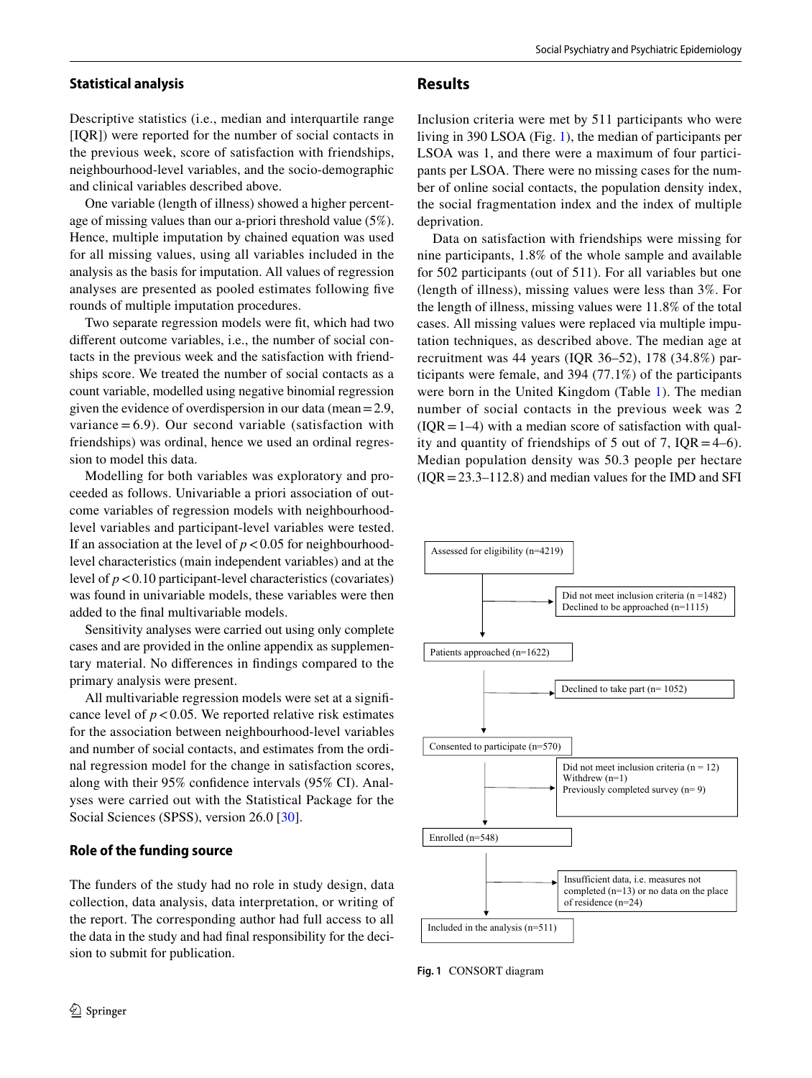#### **Statistical analysis**

Descriptive statistics (i.e., median and interquartile range [IQR]) were reported for the number of social contacts in the previous week, score of satisfaction with friendships, neighbourhood-level variables, and the socio-demographic and clinical variables described above.

One variable (length of illness) showed a higher percentage of missing values than our a-priori threshold value (5%). Hence, multiple imputation by chained equation was used for all missing values, using all variables included in the analysis as the basis for imputation. All values of regression analyses are presented as pooled estimates following fve rounds of multiple imputation procedures.

Two separate regression models were ft, which had two diferent outcome variables, i.e., the number of social contacts in the previous week and the satisfaction with friendships score. We treated the number of social contacts as a count variable, modelled using negative binomial regression given the evidence of overdispersion in our data (mean=2.9, variance  $= 6.9$ ). Our second variable (satisfaction with friendships) was ordinal, hence we used an ordinal regression to model this data.

Modelling for both variables was exploratory and proceeded as follows. Univariable a priori association of outcome variables of regression models with neighbourhoodlevel variables and participant-level variables were tested. If an association at the level of  $p < 0.05$  for neighbourhoodlevel characteristics (main independent variables) and at the level of  $p < 0.10$  participant-level characteristics (covariates) was found in univariable models, these variables were then added to the fnal multivariable models.

Sensitivity analyses were carried out using only complete cases and are provided in the online appendix as supplementary material. No diferences in fndings compared to the primary analysis were present.

All multivariable regression models were set at a signifcance level of  $p < 0.05$ . We reported relative risk estimates for the association between neighbourhood-level variables and number of social contacts, and estimates from the ordinal regression model for the change in satisfaction scores, along with their 95% confdence intervals (95% CI). Analyses were carried out with the Statistical Package for the Social Sciences (SPSS), version 26.0 [\[30](#page-8-0)].

## **Role of the funding source**

The funders of the study had no role in study design, data collection, data analysis, data interpretation, or writing of the report. The corresponding author had full access to all the data in the study and had fnal responsibility for the decision to submit for publication.

# **Results**

Inclusion criteria were met by 511 participants who were living in 390 LSOA (Fig. [1](#page-3-0)), the median of participants per LSOA was 1, and there were a maximum of four participants per LSOA. There were no missing cases for the number of online social contacts, the population density index, the social fragmentation index and the index of multiple deprivation.

Data on satisfaction with friendships were missing for nine participants, 1.8% of the whole sample and available for 502 participants (out of 511). For all variables but one (length of illness), missing values were less than 3%. For the length of illness, missing values were 11.8% of the total cases. All missing values were replaced via multiple imputation techniques, as described above. The median age at recruitment was 44 years (IQR 36–52), 178 (34.8%) participants were female, and 394 (77.1%) of the participants were born in the United Kingdom (Table [1\)](#page-4-0). The median number of social contacts in the previous week was 2  $(IOR = 1-4)$  with a median score of satisfaction with quality and quantity of friendships of 5 out of 7,  $IQR = 4-6$ . Median population density was 50.3 people per hectare  $( IQR = 23.3 – 112.8)$  and median values for the IMD and SFI



<span id="page-3-0"></span>**Fig. 1** CONSORT diagram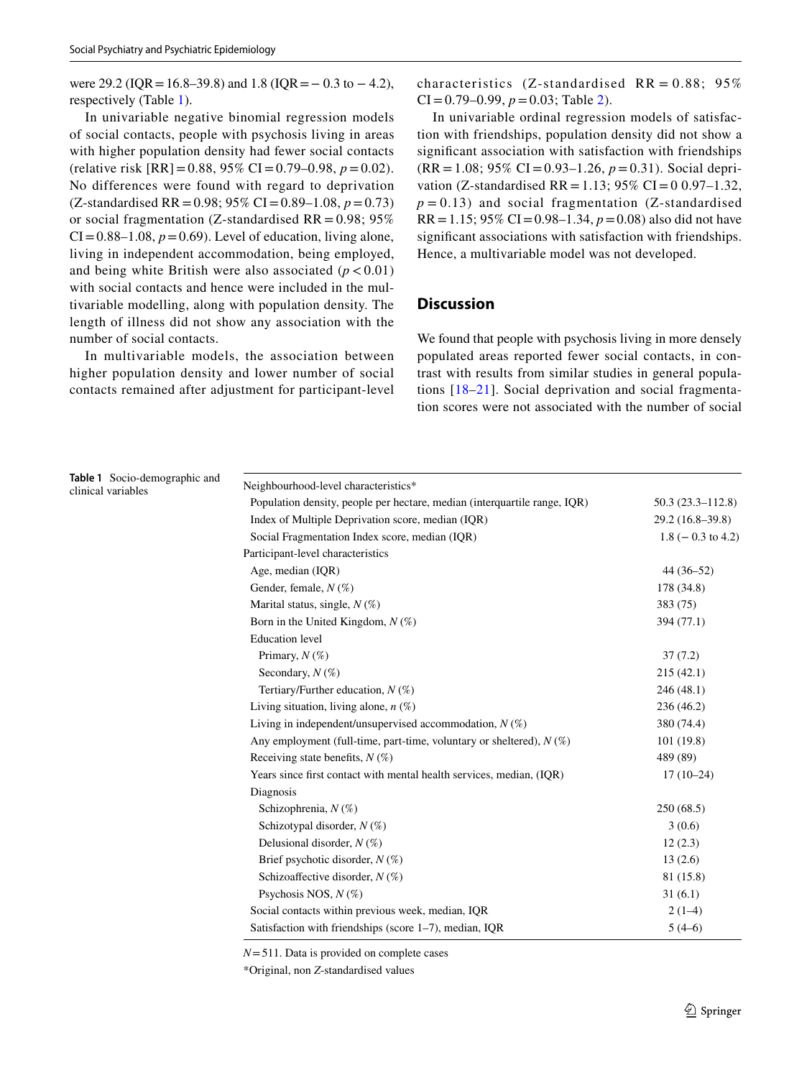were 29.2 ( $IQR = 16.8 - 39.8$ ) and 1.8 ( $IQR = -0.3$  to  $-4.2$ ), respectively (Table [1](#page-4-0)).

In univariable negative binomial regression models of social contacts, people with psychosis living in areas with higher population density had fewer social contacts (relative risk [RR]=0.88, 95% CI=0.79–0.98, *p*=0.02). No differences were found with regard to deprivation (Z-standardised RR = 0.98; 95% CI = 0.89–1.08,  $p = 0.73$ ) or social fragmentation (Z-standardised  $RR = 0.98$ ; 95%  $CI = 0.88-1.08$ ,  $p = 0.69$ ). Level of education, living alone, living in independent accommodation, being employed, and being white British were also associated  $(p < 0.01)$ with social contacts and hence were included in the multivariable modelling, along with population density. The length of illness did not show any association with the number of social contacts.

In multivariable models, the association between higher population density and lower number of social contacts remained after adjustment for participant-level characteristics (Z-standardised  $RR = 0.88$ ; 95%  $CI = 0.79-0.99$ ,  $p = 0.03$ ; Table [2](#page-5-0)).

In univariable ordinal regression models of satisfaction with friendships, population density did not show a signifcant association with satisfaction with friendships (RR=1.08; 95% CI=0.93–1.26, *p*=0.31). Social deprivation (Z-standardised RR = 1.13; 95% CI = 0.0.97–1.32,  $p = 0.13$ ) and social fragmentation (Z-standardised  $RR = 1.15$ ; 95% CI = 0.98–1.34,  $p = 0.08$ ) also did not have signifcant associations with satisfaction with friendships. Hence, a multivariable model was not developed.

# **Discussion**

We found that people with psychosis living in more densely populated areas reported fewer social contacts, in contrast with results from similar studies in general populations [[18](#page-7-14)–[21\]](#page-7-16). Social deprivation and social fragmentation scores were not associated with the number of social

<span id="page-4-0"></span>**Table 1** Socio-demographic and clinical variables

| Neighbourhood-level characteristics*                                      |                        |  |  |
|---------------------------------------------------------------------------|------------------------|--|--|
| Population density, people per hectare, median (interquartile range, IQR) | $50.3(23.3 - 112.8)$   |  |  |
| Index of Multiple Deprivation score, median (IQR)                         | $29.2(16.8-39.8)$      |  |  |
| Social Fragmentation Index score, median (IOR)                            | $1.8$ ( $-0.3$ to 4.2) |  |  |
| Participant-level characteristics                                         |                        |  |  |
| Age, median (IQR)                                                         | $44(36-52)$            |  |  |
| Gender, female, $N(\%)$                                                   | 178 (34.8)             |  |  |
| Marital status, single, $N(\%)$                                           | 383 (75)               |  |  |
| Born in the United Kingdom, $N$ (%)                                       | 394 (77.1)             |  |  |
| <b>Education</b> level                                                    |                        |  |  |
| Primary, $N$ (%)                                                          | 37(7.2)                |  |  |
| Secondary, $N(\%)$                                                        | 215(42.1)              |  |  |
| Tertiary/Further education, $N$ (%)                                       | 246(48.1)              |  |  |
| Living situation, living alone, $n$ (%)                                   | 236(46.2)              |  |  |
| Living in independent/unsupervised accommodation, $N(\%)$                 | 380 (74.4)             |  |  |
| Any employment (full-time, part-time, voluntary or sheltered), $N(\%)$    | 101(19.8)              |  |  |
| Receiving state benefits, $N(\%)$                                         | 489 (89)               |  |  |
| Years since first contact with mental health services, median, (IQR)      | $17(10-24)$            |  |  |
| Diagnosis                                                                 |                        |  |  |
| Schizophrenia, $N(\%)$                                                    | 250(68.5)              |  |  |
| Schizotypal disorder, $N(\%)$                                             | 3(0.6)                 |  |  |
| Delusional disorder, $N(\%)$                                              | 12(2.3)                |  |  |
| Brief psychotic disorder, $N(\%)$                                         | 13(2.6)                |  |  |
| Schizoaffective disorder, $N(\%)$                                         | 81 (15.8)              |  |  |
| Psychosis NOS, $N$ (%)                                                    | 31(6.1)                |  |  |
| Social contacts within previous week, median, IQR                         | $2(1-4)$               |  |  |
| Satisfaction with friendships (score $1-7$ ), median, IQR                 | $5(4-6)$               |  |  |

*N*=511. Data is provided on complete cases

\*Original, non *Z*-standardised values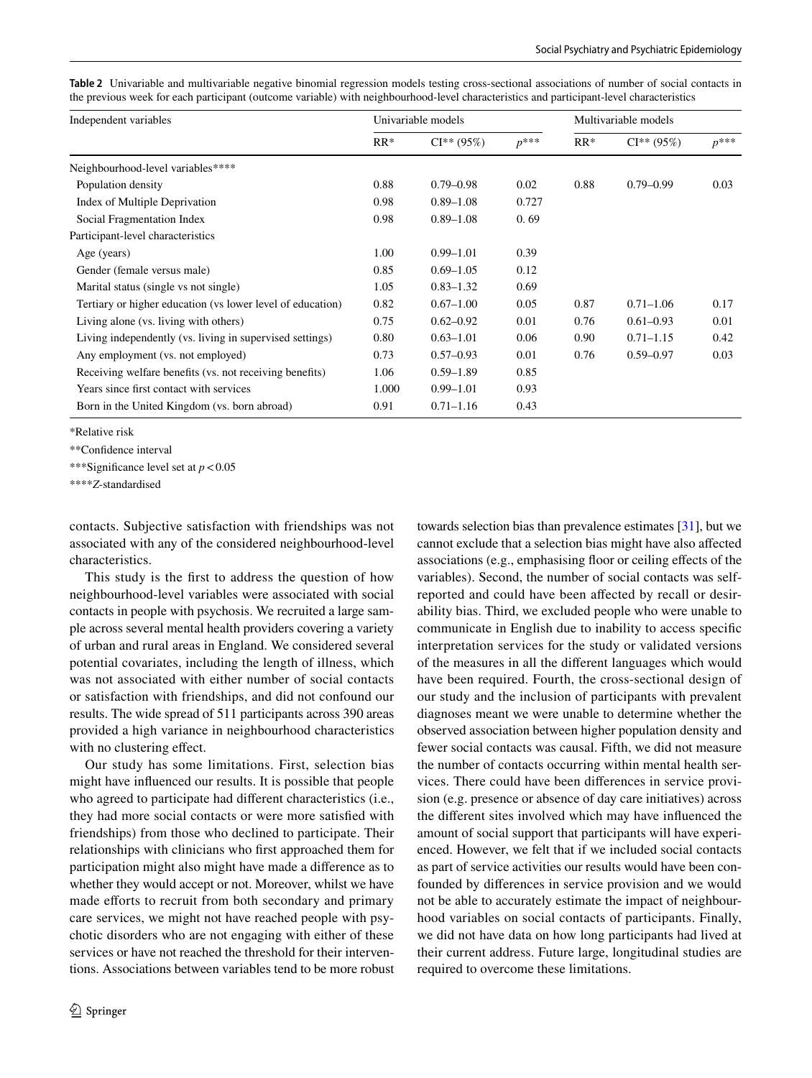<span id="page-5-0"></span>

|  |                                                                                                                                          |  |  | Table 2 Univariable and multivariable negative binomial regression models testing cross-sectional associations of number of social contacts in |  |
|--|------------------------------------------------------------------------------------------------------------------------------------------|--|--|------------------------------------------------------------------------------------------------------------------------------------------------|--|
|  | the previous week for each participant (outcome variable) with neighbourhood-level characteristics and participant-level characteristics |  |  |                                                                                                                                                |  |

| Independent variables                                      |       | Univariable models |           | Multivariable models |               |           |
|------------------------------------------------------------|-------|--------------------|-----------|----------------------|---------------|-----------|
|                                                            | $RR*$ | $CI** (95%)$       | $p^{***}$ | $RR*$                | $CI** (95%)$  | $p^{***}$ |
| Neighbourhood-level variables****                          |       |                    |           |                      |               |           |
| Population density                                         | 0.88  | $0.79 - 0.98$      | 0.02      | 0.88                 | $0.79 - 0.99$ | 0.03      |
| Index of Multiple Deprivation                              | 0.98  | $0.89 - 1.08$      | 0.727     |                      |               |           |
| Social Fragmentation Index                                 | 0.98  | $0.89 - 1.08$      | 0.69      |                      |               |           |
| Participant-level characteristics                          |       |                    |           |                      |               |           |
| Age (years)                                                | 1.00  | $0.99 - 1.01$      | 0.39      |                      |               |           |
| Gender (female versus male)                                | 0.85  | $0.69 - 1.05$      | 0.12      |                      |               |           |
| Marital status (single vs not single)                      | 1.05  | $0.83 - 1.32$      | 0.69      |                      |               |           |
| Tertiary or higher education (vs lower level of education) | 0.82  | $0.67 - 1.00$      | 0.05      | 0.87                 | $0.71 - 1.06$ | 0.17      |
| Living alone (vs. living with others)                      | 0.75  | $0.62 - 0.92$      | 0.01      | 0.76                 | $0.61 - 0.93$ | 0.01      |
| Living independently (vs. living in supervised settings)   | 0.80  | $0.63 - 1.01$      | 0.06      | 0.90                 | $0.71 - 1.15$ | 0.42      |
| Any employment (vs. not employed)                          | 0.73  | $0.57 - 0.93$      | 0.01      | 0.76                 | $0.59 - 0.97$ | 0.03      |
| Receiving welfare benefits (vs. not receiving benefits)    | 1.06  | $0.59 - 1.89$      | 0.85      |                      |               |           |
| Years since first contact with services                    | 1.000 | $0.99 - 1.01$      | 0.93      |                      |               |           |
| Born in the United Kingdom (vs. born abroad)               | 0.91  | $0.71 - 1.16$      | 0.43      |                      |               |           |

\*Relative risk

\*\*Confdence interval

\*\*\*Signifcance level set at *p*<0.05

\*\*\*\**Z*-standardised

contacts. Subjective satisfaction with friendships was not associated with any of the considered neighbourhood-level characteristics.

This study is the frst to address the question of how neighbourhood-level variables were associated with social contacts in people with psychosis. We recruited a large sample across several mental health providers covering a variety of urban and rural areas in England. We considered several potential covariates, including the length of illness, which was not associated with either number of social contacts or satisfaction with friendships, and did not confound our results. The wide spread of 511 participants across 390 areas provided a high variance in neighbourhood characteristics with no clustering effect.

Our study has some limitations. First, selection bias might have infuenced our results. It is possible that people who agreed to participate had diferent characteristics (i.e., they had more social contacts or were more satisfed with friendships) from those who declined to participate. Their relationships with clinicians who frst approached them for participation might also might have made a diference as to whether they would accept or not. Moreover, whilst we have made efforts to recruit from both secondary and primary care services, we might not have reached people with psychotic disorders who are not engaging with either of these services or have not reached the threshold for their interventions. Associations between variables tend to be more robust towards selection bias than prevalence estimates [\[31\]](#page-8-1), but we cannot exclude that a selection bias might have also afected associations (e.g., emphasising foor or ceiling efects of the variables). Second, the number of social contacts was selfreported and could have been afected by recall or desirability bias. Third, we excluded people who were unable to communicate in English due to inability to access specifc interpretation services for the study or validated versions of the measures in all the diferent languages which would have been required. Fourth, the cross-sectional design of our study and the inclusion of participants with prevalent diagnoses meant we were unable to determine whether the observed association between higher population density and fewer social contacts was causal. Fifth, we did not measure the number of contacts occurring within mental health services. There could have been diferences in service provision (e.g. presence or absence of day care initiatives) across the diferent sites involved which may have infuenced the amount of social support that participants will have experienced. However, we felt that if we included social contacts as part of service activities our results would have been confounded by diferences in service provision and we would not be able to accurately estimate the impact of neighbourhood variables on social contacts of participants. Finally, we did not have data on how long participants had lived at their current address. Future large, longitudinal studies are required to overcome these limitations.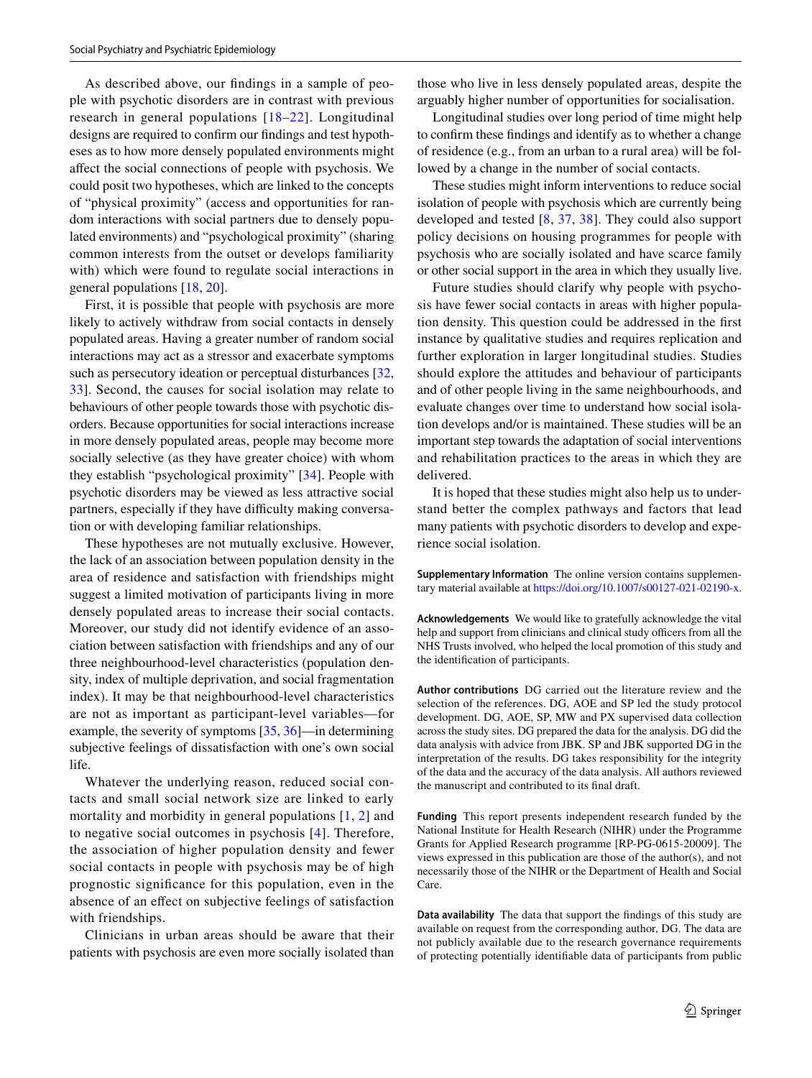As described above, our fndings in a sample of people with psychotic disorders are in contrast with previous research in general populations [[18](#page-7-14)–[22](#page-7-17)]. Longitudinal designs are required to confrm our fndings and test hypotheses as to how more densely populated environments might afect the social connections of people with psychosis. We could posit two hypotheses, which are linked to the concepts of "physical proximity" (access and opportunities for random interactions with social partners due to densely populated environments) and "psychological proximity" (sharing common interests from the outset or develops familiarity with) which were found to regulate social interactions in general populations [\[18](#page-7-14), [20](#page-7-15)].

First, it is possible that people with psychosis are more likely to actively withdraw from social contacts in densely populated areas. Having a greater number of random social interactions may act as a stressor and exacerbate symptoms such as persecutory ideation or perceptual disturbances [[32,](#page-8-2) [33](#page-8-3)]. Second, the causes for social isolation may relate to behaviours of other people towards those with psychotic disorders. Because opportunities for social interactions increase in more densely populated areas, people may become more socially selective (as they have greater choice) with whom they establish "psychological proximity" [\[34](#page-8-4)]. People with psychotic disorders may be viewed as less attractive social partners, especially if they have difficulty making conversation or with developing familiar relationships.

These hypotheses are not mutually exclusive. However, the lack of an association between population density in the area of residence and satisfaction with friendships might suggest a limited motivation of participants living in more densely populated areas to increase their social contacts. Moreover, our study did not identify evidence of an association between satisfaction with friendships and any of our three neighbourhood-level characteristics (population density, index of multiple deprivation, and social fragmentation index). It may be that neighbourhood-level characteristics are not as important as participant-level variables—for example, the severity of symptoms [\[35](#page-8-5), [36\]](#page-8-6)—in determining subjective feelings of dissatisfaction with one's own social life.

Whatever the underlying reason, reduced social contacts and small social network size are linked to early mortality and morbidity in general populations [[1,](#page-7-0) [2](#page-7-25)] and to negative social outcomes in psychosis [[4\]](#page-7-2). Therefore, the association of higher population density and fewer social contacts in people with psychosis may be of high prognostic signifcance for this population, even in the absence of an efect on subjective feelings of satisfaction with friendships.

Clinicians in urban areas should be aware that their patients with psychosis are even more socially isolated than those who live in less densely populated areas, despite the arguably higher number of opportunities for socialisation.

Longitudinal studies over long period of time might help to confrm these fndings and identify as to whether a change of residence (e.g., from an urban to a rural area) will be followed by a change in the number of social contacts.

These studies might inform interventions to reduce social isolation of people with psychosis which are currently being developed and tested [[8,](#page-7-5) [37,](#page-8-7) [38](#page-8-8)]. They could also support policy decisions on housing programmes for people with psychosis who are socially isolated and have scarce family or other social support in the area in which they usually live.

Future studies should clarify why people with psychosis have fewer social contacts in areas with higher population density. This question could be addressed in the frst instance by qualitative studies and requires replication and further exploration in larger longitudinal studies. Studies should explore the attitudes and behaviour of participants and of other people living in the same neighbourhoods, and evaluate changes over time to understand how social isolation develops and/or is maintained. These studies will be an important step towards the adaptation of social interventions and rehabilitation practices to the areas in which they are delivered.

It is hoped that these studies might also help us to understand better the complex pathways and factors that lead many patients with psychotic disorders to develop and experience social isolation.

**Supplementary Information** The online version contains supplementary material available at<https://doi.org/10.1007/s00127-021-02190-x>.

**Acknowledgements** We would like to gratefully acknowledge the vital help and support from clinicians and clinical study officers from all the NHS Trusts involved, who helped the local promotion of this study and the identifcation of participants.

**Author contributions** DG carried out the literature review and the selection of the references. DG, AOE and SP led the study protocol development. DG, AOE, SP, MW and PX supervised data collection across the study sites. DG prepared the data for the analysis. DG did the data analysis with advice from JBK. SP and JBK supported DG in the interpretation of the results. DG takes responsibility for the integrity of the data and the accuracy of the data analysis. All authors reviewed the manuscript and contributed to its fnal draft.

**Funding** This report presents independent research funded by the National Institute for Health Research (NIHR) under the Programme Grants for Applied Research programme [RP-PG-0615-20009]. The views expressed in this publication are those of the author(s), and not necessarily those of the NIHR or the Department of Health and Social Care.

**Data availability** The data that support the fndings of this study are available on request from the corresponding author, DG. The data are not publicly available due to the research governance requirements of protecting potentially identifable data of participants from public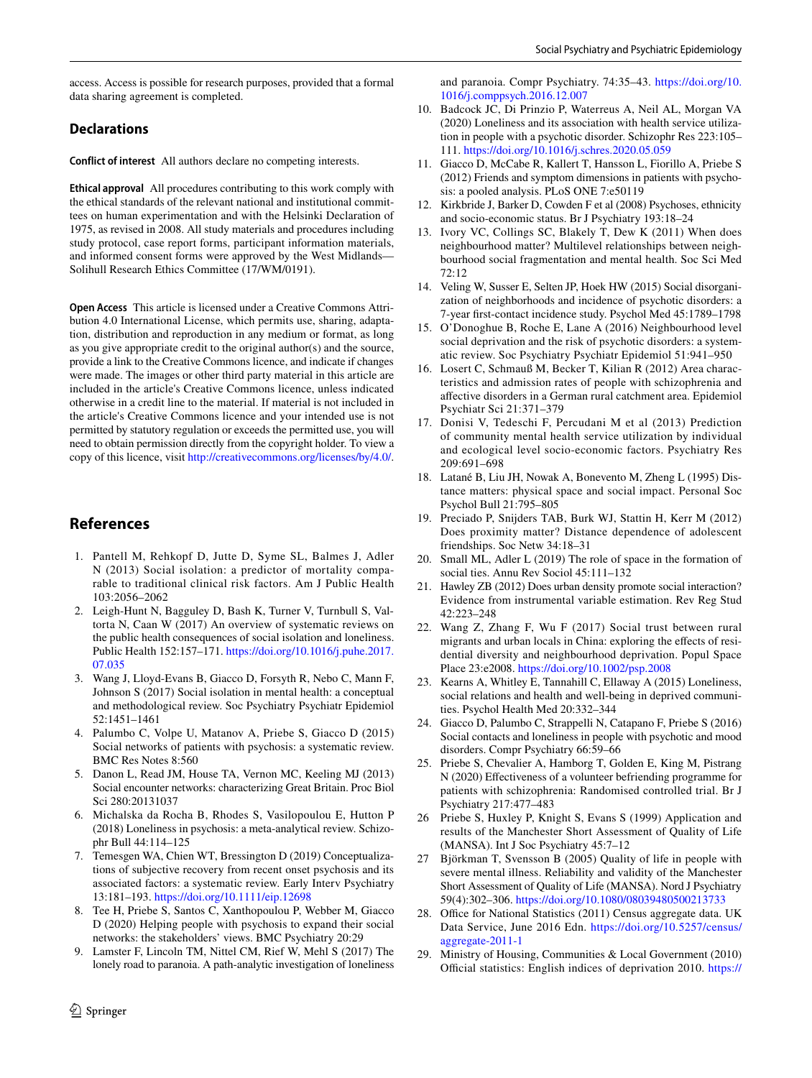access. Access is possible for research purposes, provided that a formal data sharing agreement is completed.

#### **Declarations**

**Conflict of interest** All authors declare no competing interests.

**Ethical approval** All procedures contributing to this work comply with the ethical standards of the relevant national and institutional committees on human experimentation and with the Helsinki Declaration of 1975, as revised in 2008. All study materials and procedures including study protocol, case report forms, participant information materials, and informed consent forms were approved by the West Midlands— Solihull Research Ethics Committee (17/WM/0191).

**Open Access** This article is licensed under a Creative Commons Attribution 4.0 International License, which permits use, sharing, adaptation, distribution and reproduction in any medium or format, as long as you give appropriate credit to the original author(s) and the source, provide a link to the Creative Commons licence, and indicate if changes were made. The images or other third party material in this article are included in the article's Creative Commons licence, unless indicated otherwise in a credit line to the material. If material is not included in the article's Creative Commons licence and your intended use is not permitted by statutory regulation or exceeds the permitted use, you will need to obtain permission directly from the copyright holder. To view a copy of this licence, visit <http://creativecommons.org/licenses/by/4.0/>.

#### **References**

- <span id="page-7-0"></span>1. Pantell M, Rehkopf D, Jutte D, Syme SL, Balmes J, Adler N (2013) Social isolation: a predictor of mortality comparable to traditional clinical risk factors. Am J Public Health 103:2056–2062
- <span id="page-7-25"></span>2. Leigh-Hunt N, Bagguley D, Bash K, Turner V, Turnbull S, Valtorta N, Caan W (2017) An overview of systematic reviews on the public health consequences of social isolation and loneliness. Public Health 152:157–171. [https://doi.org/10.1016/j.puhe.2017.](https://doi.org/10.1016/j.puhe.2017.07.035) [07.035](https://doi.org/10.1016/j.puhe.2017.07.035)
- <span id="page-7-1"></span>3. Wang J, Lloyd-Evans B, Giacco D, Forsyth R, Nebo C, Mann F, Johnson S (2017) Social isolation in mental health: a conceptual and methodological review. Soc Psychiatry Psychiatr Epidemiol 52:1451–1461
- <span id="page-7-2"></span>4. Palumbo C, Volpe U, Matanov A, Priebe S, Giacco D (2015) Social networks of patients with psychosis: a systematic review. BMC Res Notes 8:560
- <span id="page-7-3"></span>5. Danon L, Read JM, House TA, Vernon MC, Keeling MJ (2013) Social encounter networks: characterizing Great Britain. Proc Biol Sci 280:20131037
- <span id="page-7-4"></span>6. Michalska da Rocha B, Rhodes S, Vasilopoulou E, Hutton P (2018) Loneliness in psychosis: a meta-analytical review. Schizophr Bull 44:114–125
- <span id="page-7-8"></span>7. Temesgen WA, Chien WT, Bressington D (2019) Conceptualizations of subjective recovery from recent onset psychosis and its associated factors: a systematic review. Early Interv Psychiatry 13:181–193.<https://doi.org/10.1111/eip.12698>
- <span id="page-7-5"></span>8. Tee H, Priebe S, Santos C, Xanthopoulou P, Webber M, Giacco D (2020) Helping people with psychosis to expand their social networks: the stakeholders' views. BMC Psychiatry 20:29
- <span id="page-7-6"></span>9. Lamster F, Lincoln TM, Nittel CM, Rief W, Mehl S (2017) The lonely road to paranoia. A path-analytic investigation of loneliness

and paranoia. Compr Psychiatry. 74:35–43. [https://doi.org/10.](https://doi.org/10.1016/j.comppsych.2016.12.007) [1016/j.comppsych.2016.12.007](https://doi.org/10.1016/j.comppsych.2016.12.007)

- <span id="page-7-7"></span>10. Badcock JC, Di Prinzio P, Waterreus A, Neil AL, Morgan VA (2020) Loneliness and its association with health service utilization in people with a psychotic disorder. Schizophr Res 223:105– 111.<https://doi.org/10.1016/j.schres.2020.05.059>
- <span id="page-7-9"></span>11. Giacco D, McCabe R, Kallert T, Hansson L, Fiorillo A, Priebe S (2012) Friends and symptom dimensions in patients with psychosis: a pooled analysis. PLoS ONE 7:e50119
- <span id="page-7-10"></span>12. Kirkbride J, Barker D, Cowden F et al (2008) Psychoses, ethnicity and socio-economic status. Br J Psychiatry 193:18–24
- 13. Ivory VC, Collings SC, Blakely T, Dew K (2011) When does neighbourhood matter? Multilevel relationships between neighbourhood social fragmentation and mental health. Soc Sci Med  $72:12$
- 14. Veling W, Susser E, Selten JP, Hoek HW (2015) Social disorganization of neighborhoods and incidence of psychotic disorders: a 7-year frst-contact incidence study. Psychol Med 45:1789–1798
- <span id="page-7-11"></span>15. O'Donoghue B, Roche E, Lane A (2016) Neighbourhood level social deprivation and the risk of psychotic disorders: a systematic review. Soc Psychiatry Psychiatr Epidemiol 51:941–950
- <span id="page-7-12"></span>16. Losert C, Schmauß M, Becker T, Kilian R (2012) Area characteristics and admission rates of people with schizophrenia and afective disorders in a German rural catchment area. Epidemiol Psychiatr Sci 21:371–379
- <span id="page-7-13"></span>17. Donisi V, Tedeschi F, Percudani M et al (2013) Prediction of community mental health service utilization by individual and ecological level socio-economic factors. Psychiatry Res 209:691–698
- <span id="page-7-14"></span>18. Latané B, Liu JH, Nowak A, Bonevento M, Zheng L (1995) Distance matters: physical space and social impact. Personal Soc Psychol Bull 21:795–805
- 19. Preciado P, Snijders TAB, Burk WJ, Stattin H, Kerr M (2012) Does proximity matter? Distance dependence of adolescent friendships. Soc Netw 34:18–31
- <span id="page-7-15"></span>20. Small ML, Adler L (2019) The role of space in the formation of social ties. Annu Rev Sociol 45:111–132
- <span id="page-7-16"></span>21. Hawley ZB (2012) Does urban density promote social interaction? Evidence from instrumental variable estimation. Rev Reg Stud 42:223–248
- <span id="page-7-17"></span>22. Wang Z, Zhang F, Wu F (2017) Social trust between rural migrants and urban locals in China: exploring the effects of residential diversity and neighbourhood deprivation. Popul Space Place 23:e2008.<https://doi.org/10.1002/psp.2008>
- <span id="page-7-18"></span>23. Kearns A, Whitley E, Tannahill C, Ellaway A (2015) Loneliness, social relations and health and well-being in deprived communities. Psychol Health Med 20:332–344
- <span id="page-7-19"></span>24. Giacco D, Palumbo C, Strappelli N, Catapano F, Priebe S (2016) Social contacts and loneliness in people with psychotic and mood disorders. Compr Psychiatry 66:59–66
- <span id="page-7-20"></span>25. Priebe S, Chevalier A, Hamborg T, Golden E, King M, Pistrang N (2020) Efectiveness of a volunteer befriending programme for patients with schizophrenia: Randomised controlled trial. Br J Psychiatry 217:477–483
- <span id="page-7-21"></span>26 Priebe S, Huxley P, Knight S, Evans S (1999) Application and results of the Manchester Short Assessment of Quality of Life (MANSA). Int J Soc Psychiatry 45:7–12
- <span id="page-7-22"></span>Björkman T, Svensson B (2005) Quality of life in people with severe mental illness. Reliability and validity of the Manchester Short Assessment of Quality of Life (MANSA). Nord J Psychiatry 59(4):302–306.<https://doi.org/10.1080/08039480500213733>
- <span id="page-7-23"></span>28. Office for National Statistics (2011) Census aggregate data. UK Data Service, June 2016 Edn. [https://doi.org/10.5257/census/](https://doi.org/10.5257/census/aggregate-2011-1) [aggregate-2011-1](https://doi.org/10.5257/census/aggregate-2011-1)
- <span id="page-7-24"></span>29. Ministry of Housing, Communities & Local Government (2010) Official statistics: English indices of deprivation 2010. [https://](https://www.gov.uk/government/statistics/english-indices-of-deprivation-2010)